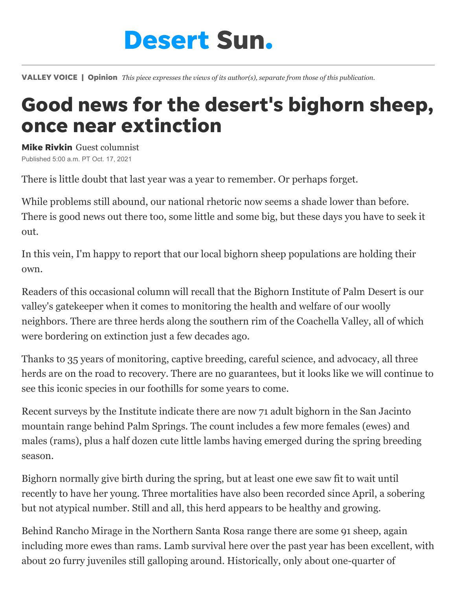## **Desert Sun.**

VALLEY VOICE | Opinion *This piece expresses the views of its author(s), separate from those of this publication.*

## Good news for the desert's bighorn sheep, once near extinction

Mike Rivkin Guest columnist Published 5:00 a.m. PT Oct. 17, 2021

There is little doubt that last year was a year to remember. Or perhaps forget.

While problems still abound, our national rhetoric now seems a shade lower than before. There is good news out there too, some little and some big, but these days you have to seek it out.

In this vein, I'm happy to report that our local bighorn sheep populations are holding their own.

Readers of [this occasional column](https://www.desertsun.com/story/opinion/contributors/valley-voice/2020/09/08/coachella-valley-bighorn-sheep-mostly-ok-but-stresses-show-mike-rivkin-valley-voice/5751144002/) will recall that the Bighorn Institute of Palm Desert is our valley's gatekeeper when it comes to monitoring the health and welfare of our woolly neighbors. There are three herds along the southern rim of the Coachella Valley, all of which were bordering on extinction just a few decades ago.

Thanks to 35 years of monitoring, captive breeding, careful science, and advocacy, all three herds are on the road to recovery. There are no guarantees, but it looks like we will continue to see this iconic species in our foothills for some years to come.

Recent surveys by the Institute indicate there are now 71 adult bighorn in the San Jacinto mountain range behind Palm Springs. The count includes a few more females (ewes) and males (rams), plus a half dozen cute little lambs having emerged during the spring breeding season.

Bighorn normally give birth during the spring, but at least one ewe saw fit to wait until recently to have her young. Three mortalities have also been recorded since April, a sobering but not atypical number. Still and all, this herd appears to be healthy and growing.

Behind Rancho Mirage in the Northern Santa Rosa range there are some 91 sheep, again including more ewes than rams. Lamb survival here over the past year has been excellent, with about 20 furry juveniles still galloping around. Historically, only about one-quarter of